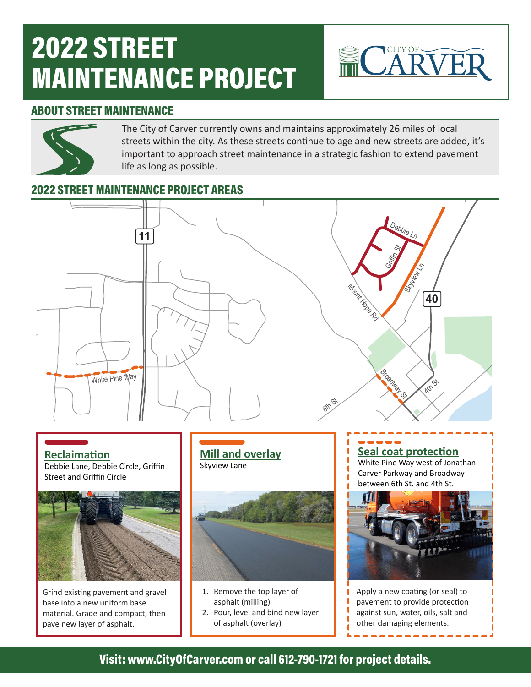# 2022 STREET MAINTENANCE PROJECT



#### ABOUT STREET MAINTENANCE



The City of Carver currently owns and maintains approximately 26 miles of local streets within the city. As these streets continue to age and new streets are added, it's important to approach street maintenance in a strategic fashion to extend pavement life as long as possible.

### 2022 STREET MAINTENANCE PROJECT AREAS



**Reclaimation** Debbie Lane, Debbie Circle, Griffin Street and Griffin Circle



Grind existing pavement and gravel base into a new uniform base material. Grade and compact, then pave new layer of asphalt.

**Mill and overlay** Skyview Lane



- 1. Remove the top layer of asphalt (milling)
- 2. Pour, level and bind new layer of asphalt (overlay)

**Seal coat protection** White Pine Way west of Jonathan Carver Parkway and Broadway between 6th St. and 4th St.



Apply a new coating (or seal) to pavement to provide protection against sun, water, oils, salt and other damaging elements.

#### Visit: www.CityOfCarver.com or call 612-790-1721 for project details.